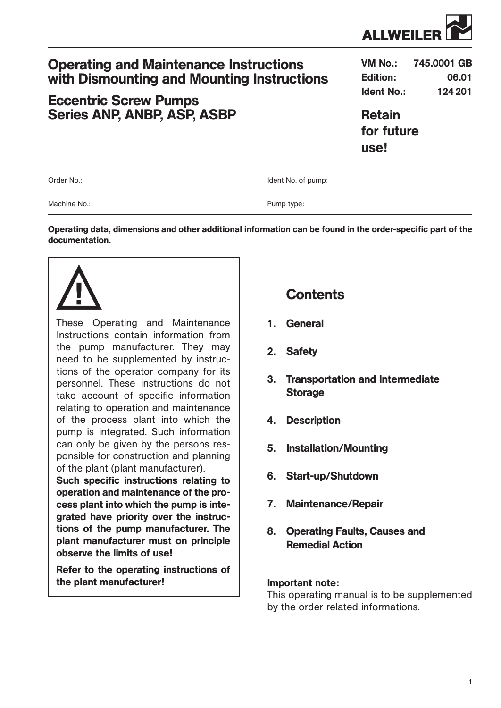

# Operating and Maintenance Instructions with Dismounting and Mounting Instructions

# Eccentric Screw Pumps Series ANP, ANBP, ASP, ASBP

VM No.: 745.0001 GB Edition: 06.01 Ident No.: 124 201 Retain

for future use!

Order No.: **IDENTIFY CONTROL** 

Machine No.: Pump type:

Operating data, dimensions and other additional information can be found in the order-specific part of the documentation.

# $\overline{\mathbb{A}}$

These Operating and Maintenance Instructions contain information from the pump manufacturer. They may need to be supplemented by instructions of the operator company for its personnel. These instructions do not take account of specific information relating to operation and maintenance of the process plant into which the pump is integrated. Such information can only be given by the persons responsible for construction and planning of the plant (plant manufacturer).

Such specific instructions relating to operation and maintenance of the process plant into which the pump is integrated have priority over the instructions of the pump manufacturer. The plant manufacturer must on principle observe the limits of use!

Refer to the operating instructions of the plant manufacturer!

# **Contents**

- 1. General
- 2. Safety
- 3. Transportation and Intermediate Storage
- 4. Description
- 5. Installation/Mounting
- 6. Start-up/Shutdown
- 7. Maintenance/Repair
- 8. Operating Faults, Causes and Remedial Action

## Important note:

This operating manual is to be supplemented by the order-related informations.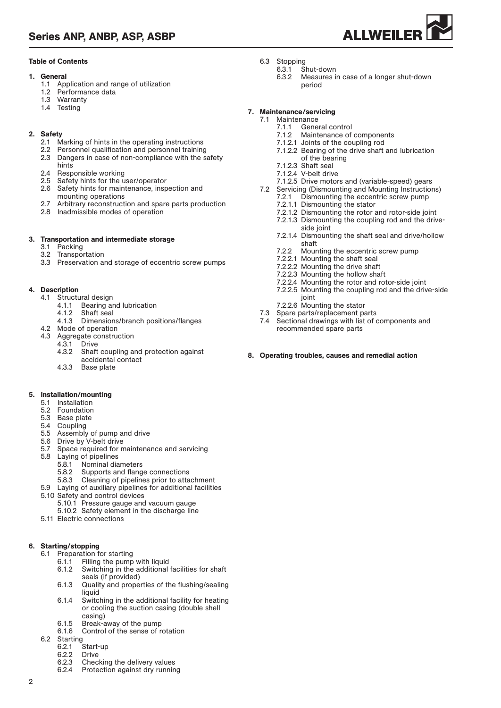

#### Table of Contents

#### 1. General

- 1.1 Application and range of utilization
- 1.2 Performance data<br>1.3 Warranty
- Warranty
- 1.4 Testing

#### 2. Safety

- 2.1 Marking of hints in the operating instructions
- 2.2 Personnel qualification and personnel training
- 2.3 Dangers in case of non-compliance with the safety hints
- 2.4 Responsible working
- 
- 2.5 Safety hints for the user/operator<br>2.6 Safety hints for maintenance, insp Safety hints for maintenance, inspection and mounting operations
- 2.7 Arbitrary reconstruction and spare parts production
- 2.8 Inadmissible modes of operation

#### 3. Transportation and intermediate storage

- 3.1 Packing
- 3.2 Transportation
- 3.3 Preservation and storage of eccentric screw pumps

#### 4. Description

- 4.1 Structural design
	- 4.1.1 Bearing and lubrication
	- 4.1.2 Shaft seal
	- 4.1.3 Dimensions/branch positions/flanges
- 4.2 Mode of operation
- 4.3 Aggregate construction
	- 4.3.1 Drive
		- 4.3.2 Shaft coupling and protection against accidental contact
		- 4.3.3 Base plate

#### 5. Installation/mounting

- 5.1 Installation
- 5.2 Foundation
- 5.3 Base plate
- 5.4 Coupling
- 5.5 Assembly of pump and drive
- 5.6 Drive by V-belt drive
- 5.7 Space required for maintenance and servicing
- 5.8 Laying of pipelines
	- 5.8.1 Nominal diameters
		- 5.8.2 Supports and flange connections
		- 5.8.3 Cleaning of pipelines prior to attachment
- 5.9 Laying of auxiliary pipelines for additional facilities
- 5.10 Safety and control devices
	- 5.10.1 Pressure gauge and vacuum gauge
	- 5.10.2 Safety element in the discharge line
- 5.11 Electric connections

#### 6. Starting/stopping

- 6.1 Preparation for starting
	- 6.1.1 Filling the pump with liquid
	- 6.1.2 Switching in the additional facilities for shaft seals (if provided)
	- 6.1.3 Quality and properties of the flushing/sealing liquid
	- 6.1.4 Switching in the additional facility for heating or cooling the suction casing (double shell casing)
	- 6.1.5 Break-away of the pump
	- 6.1.6 Control of the sense of rotation
- 6.2 Starting<br>6.2.1 S
	- Start-up
	- 6.2.2 Drive
	- 6.2.3 Checking the delivery values
	- 6.2.4 Protection against dry running

6.3.1 Shut-down 6.3.2 Measures in case of a longer shut-down period

#### 7. Maintenance/servicing

- 7.1 Maintenance
	- 7.1.1 General control
	- 7.1.2 Maintenance of components
	- 7.1.2.1 Joints of the coupling rod
	- 7.1.2.2 Bearing of the drive shaft and lubrication of the bearing
	- 7.1.2.3 Shaft seal
	- 7.1.2.4 V-belt drive
- 7.1.2.5 Drive motors and (variable-speed) gears
- 7.2 Servicing (Dismounting and Mounting Instructions)
	- 7.2.1 Dismounting the eccentric screw pump 7.2.1.1 Dismounting the stator
		- 7.2.1.2 Dismounting the rotor and rotor-side joint
		- 7.2.1.3 Dismounting the coupling rod and the driveside joint
		- 7.2.1.4 Dismounting the shaft seal and drive/hollow shaft
		- 7.2.2 Mounting the eccentric screw pump
		- 7.2.2.1 Mounting the shaft seal
		- 7.2.2.2 Mounting the drive shaft
		- 7.2.2.3 Mounting the hollow shaft
		- 7.2.2.4 Mounting the rotor and rotor-side joint 7.2.2.5 Mounting the coupling rod and the drive-side
	- ioint
- 7.2.2.6 Mounting the stator 7.3 Spare parts/replacement parts
- 7.4 Sectional drawings with list of components and recommended spare parts
- 8. Operating troubles, causes and remedial action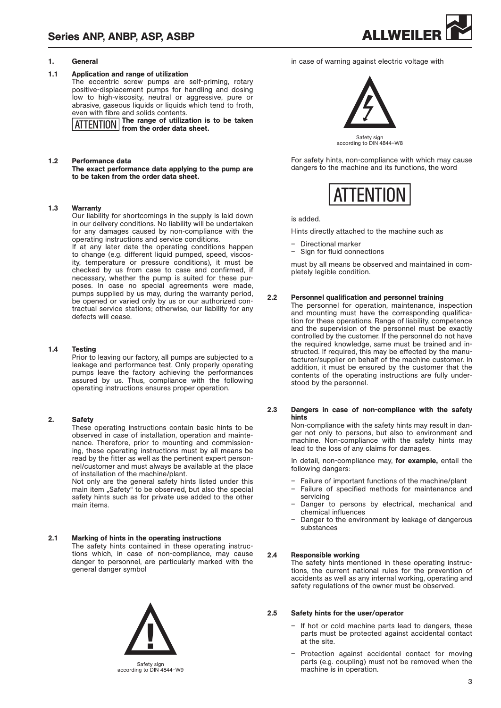

#### 1. General

1.1 Application and range of utilization

The eccentric screw pumps are self-priming, rotary positive-displacement pumps for handling and dosing low to high-viscosity, neutral or aggressive, pure or abrasive, gaseous liquids or liquids which tend to froth, even with fibre and solids contents.

**ATTENTION** The range of utilization is to be taken

#### 1.2 Performance data

The exact performance data applying to the pump are to be taken from the order data sheet.

#### 1.3 Warranty

Our liability for shortcomings in the supply is laid down in our delivery conditions. No liability will be undertaken for any damages caused by non-compliance with the operating instructions and service conditions.

If at any later date the operating conditions happen to change (e.g. different liquid pumped, speed, viscosity, temperature or pressure conditions), it must be checked by us from case to case and confirmed, if necessary, whether the pump is suited for these purposes. In case no special agreements were made, pumps supplied by us may, during the warranty period, be opened or varied only by us or our authorized contractual service stations; otherwise, our liability for any defects will cease.

#### 1.4 Testing

Prior to leaving our factory, all pumps are subjected to a leakage and performance test. Only properly operating pumps leave the factory achieving the performances assured by us. Thus, compliance with the following operating instructions ensures proper operation.

#### 2. Safety

These operating instructions contain basic hints to be observed in case of installation, operation and maintenance. Therefore, prior to mounting and commissioning, these operating instructions must by all means be read by the fitter as well as the pertinent expert personnel/customer and must always be available at the place of installation of the machine/plant.

Not only are the general safety hints listed under this main item, Safety" to be observed, but also the special safety hints such as for private use added to the other main items.

#### 2.1 Marking of hints in the operating instructions

The safety hints contained in these operating instructions which, in case of non-compliance, may cause danger to personnel, are particularly marked with the general danger symbol



#### in case of warning against electric voltage with



Safety sign according to DIN 4844–W8

For safety hints, non-compliance with which may cause dangers to the machine and its functions, the word



is added.

Hints directly attached to the machine such as

- Directional marker
- Sign for fluid connections

must by all means be observed and maintained in completely legible condition.

#### 2.2 Personnel qualification and personnel training

The personnel for operation, maintenance, inspection and mounting must have the corresponding qualification for these operations. Range of liability, competence and the supervision of the personnel must be exactly controlled by the customer. If the personnel do not have the required knowledge, same must be trained and instructed. If required, this may be effected by the manufacturer/supplier on behalf of the machine customer. In addition, it must be ensured by the customer that the contents of the operating instructions are fully understood by the personnel.

#### 2.3 Dangers in case of non-compliance with the safety hints

Non-compliance with the safety hints may result in danger not only to persons, but also to environment and machine. Non-compliance with the safety hints may lead to the loss of any claims for damages.

In detail, non-compliance may, for example, entail the following dangers:

- Failure of important functions of the machine/plant
- Failure of specified methods for maintenance and servicing
- Danger to persons by electrical, mechanical and chemical influences
- Danger to the environment by leakage of dangerous substances

#### 2.4 Responsible working

The safety hints mentioned in these operating instructions, the current national rules for the prevention of accidents as well as any internal working, operating and safety regulations of the owner must be observed.

#### 2.5 Safety hints for the user/operator

- If hot or cold machine parts lead to dangers, these parts must be protected against accidental contact at the site.
- Protection against accidental contact for moving parts (e.g. coupling) must not be removed when the machine is in operation.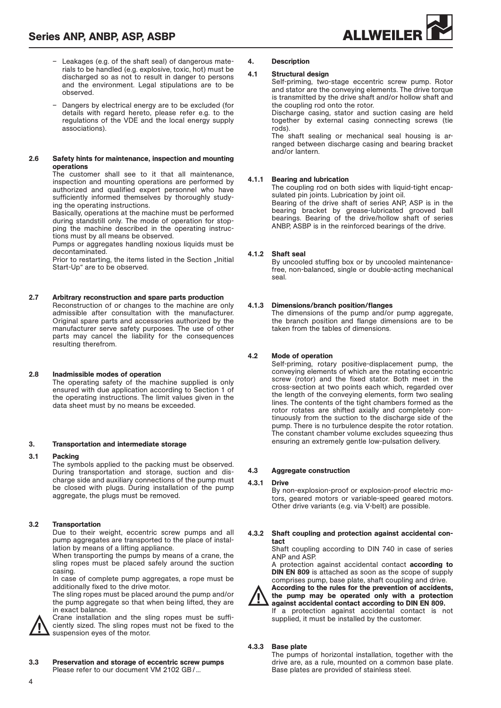

- Leakages (e.g. of the shaft seal) of dangerous materials to be handled (e.g. explosive, toxic, hot) must be discharged so as not to result in danger to persons and the environment. Legal stipulations are to be observed.
- Dangers by electrical energy are to be excluded (for details with regard hereto, please refer e.g. to the regulations of the VDE and the local energy supply associations).

#### 2.6 Safety hints for maintenance, inspection and mounting operations

The customer shall see to it that all maintenance, inspection and mounting operations are performed by authorized and qualified expert personnel who have sufficiently informed themselves by thoroughly studying the operating instructions.

Basically, operations at the machine must be performed during standstill only. The mode of operation for stopping the machine described in the operating instructions must by all means be observed.

Pumps or aggregates handling noxious liquids must be decontaminated.

Prior to restarting, the items listed in the Section "Initial Start-Up" are to be observed.

#### 2.7 Arbitrary reconstruction and spare parts production

Reconstruction of or changes to the machine are only admissible after consultation with the manufacturer. Original spare parts and accessories authorized by the manufacturer serve safety purposes. The use of other parts may cancel the liability for the consequences resulting therefrom.

### 2.8 Inadmissible modes of operation

The operating safety of the machine supplied is only ensured with due application according to Section 1 of the operating instructions. The limit values given in the data sheet must by no means be exceeded.

#### 3. Transportation and intermediate storage

#### 3.1 Packing

The symbols applied to the packing must be observed. During transportation and storage, suction and discharge side and auxiliary connections of the pump must be closed with plugs. During installation of the pump aggregate, the plugs must be removed.

#### 3.2 Transportation

Due to their weight, eccentric screw pumps and all pump aggregates are transported to the place of installation by means of a lifting appliance.

When transporting the pumps by means of a crane, the sling ropes must be placed safely around the suction casing.

In case of complete pump aggregates, a rope must be additionally fixed to the drive motor.

The sling ropes must be placed around the pump and/or the pump aggregate so that when being lifted, they are in exact balance.



Crane installation and the sling ropes must be sufficiently sized. The sling ropes must not be fixed to the suspension eyes of the motor.

3.3 Preservation and storage of eccentric screw pumps Please refer to our document VM 2102 GB/...

#### 4. Description

#### 4.1 Structural design

Self-priming, two-stage eccentric screw pump. Rotor and stator are the conveying elements. The drive torque is transmitted by the drive shaft and/or hollow shaft and the coupling rod onto the rotor.

Discharge casing, stator and suction casing are held together by external casing connecting screws (tie rods).

The shaft sealing or mechanical seal housing is arranged between discharge casing and bearing bracket and/or lantern.

#### 4.1.1 Bearing and lubrication

The coupling rod on both sides with liquid-tight encapsulated pin joints. Lubrication by joint oil.

Bearing of the drive shaft of series ANP, ASP is in the bearing bracket by grease-lubricated grooved ball bearings. Bearing of the drive/hollow shaft of series ANBP, ASBP is in the reinforced bearings of the drive.

#### 4.1.2 Shaft seal

By uncooled stuffing box or by uncooled maintenancefree, non-balanced, single or double-acting mechanical seal.

#### 4.1.3 Dimensions/branch position/flanges

The dimensions of the pump and/or pump aggregate, the branch position and flange dimensions are to be taken from the tables of dimensions.

#### 4.2 Mode of operation

Self-priming, rotary positive-displacement pump, the conveying elements of which are the rotating eccentric screw (rotor) and the fixed stator. Both meet in the cross-section at two points each which, regarded over the length of the conveying elements, form two sealing lines. The contents of the tight chambers formed as the rotor rotates are shifted axially and completely continuously from the suction to the discharge side of the pump. There is no turbulence despite the rotor rotation. The constant chamber volume excludes squeezing thus ensuring an extremely gentle low-pulsation delivery.

#### 4.3 Aggregate construction

#### 4.3.1 Drive

By non-explosion-proof or explosion-proof electric motors, geared motors or variable-speed geared motors. Other drive variants (e.g. via V-belt) are possible.

4.3.2 Shaft coupling and protection against accidental contact

Shaft coupling according to DIN 740 in case of series ANP and ASP.

A protection against accidental contact according to DIN EN 809 is attached as soon as the scope of supply comprises pump, base plate, shaft coupling and drive.<br>According to the rules for the prevention of accidents.

Exercising to the rules for the prevention of accidents,<br>the pump may be operated only with a protection<br>against accidental contact according to DIN EN 809. the pump may be operated only with a protection against accidental contact according to DIN EN 809.

If a protection against accidental contact is not supplied, it must be installed by the customer.

#### 4.3.3 Base plate

The pumps of horizontal installation, together with the drive are, as a rule, mounted on a common base plate. Base plates are provided of stainless steel.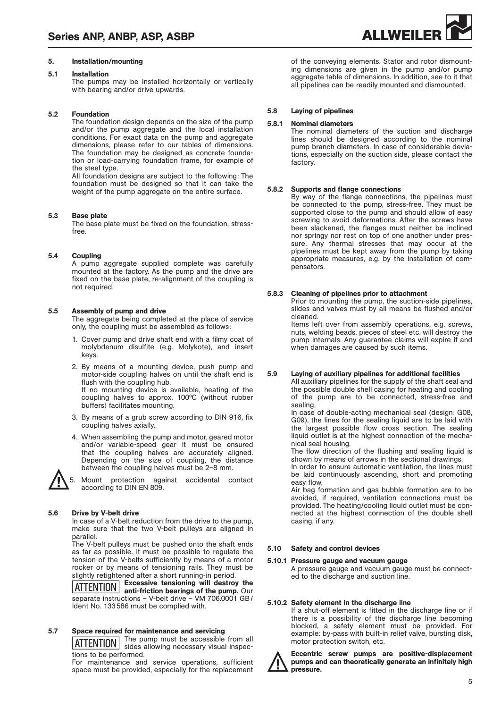

#### 5. Installation/mounting

#### 5.1 Installation

The pumps may be installed horizontally or vertically with bearing and/or drive upwards.

#### 5.2 Foundation

The foundation design depends on the size of the pump and/or the pump aggregate and the local installation conditions. For exact data on the pump and aggregate dimensions, please refer to our tables of dimensions. The foundation may be designed as concrete foundation or load-carrying foundation frame, for example of the steel type.

All foundation designs are subject to the following: The foundation must be designed so that it can take the weight of the pump aggregate on the entire surface.

#### 5.3 Base plate

The base plate must be fixed on the foundation, stressfree.

#### 5.4 Coupling

A pump aggregate supplied complete was carefully mounted at the factory. As the pump and the drive are fixed on the base plate, re-alignment of the coupling is not required.

#### 5.5 Assembly of pump and drive

The aggregate being completed at the place of service only, the coupling must be assembled as follows:

- 1. Cover pump and drive shaft end with a filmy coat of molybdenum disulfite (e.g. Molykote), and insert keys.
- 2. By means of a mounting device, push pump and motor-side coupling halves on until the shaft end is flush with the coupling hub.

If no mounting device is available, heating of the coupling halves to approx.  $100^{\circ}C$  (without rubber buffers) facilitates mounting.

- 3. By means of a grub screw according to DIN 916, fix coupling halves axially.
- 4. When assembling the pump and motor, geared motor and/or variable-speed gear it must be ensured that the coupling halves are accurately aligned. Depending on the size of coupling, the distance<br>between the coupling halves must be 2-8 mm.

5. Mount protection against accidental contact according to DIN EN 809.

#### 5.6 Drive by V-belt drive

In case of a V-belt reduction from the drive to the pump, make sure that the two V-belt pulleys are aligned in parallel.

The V-belt pulleys must be pushed onto the shaft ends as far as possible. It must be possible to regulate the tension of the V-belts sufficiently by means of a motor rocker or by means of tensioning rails. They must be slightly retightened after a short running-in period.

**ATTENTION** Excessive tensioning will destroy the **ATTENTION** anti-friction bearings of the pump. Our separate instructions – V-belt drive – VM 706.0001 GB/ Ident No. 133586 must be complied with.

#### 5.7 Space required for maintenance and servicing

 $\overline{\text{ATTENTION}}$  The pump must be accessible from all sides allowing necessary visual inspections to be performed.

For maintenance and service operations, sufficient space must be provided, especially for the replacement of the conveying elements. Stator and rotor dismounting dimensions are given in the pump and/or pump aggregate table of dimensions. In addition, see to it that all pipelines can be readily mounted and dismounted.

#### 5.8 Laying of pipelines

#### 5.8.1 Nominal diameters

The nominal diameters of the suction and discharge lines should be designed according to the nominal pump branch diameters. In case of considerable deviations, especially on the suction side, please contact the factory.

#### 5.8.2 Supports and flange connections

By way of the flange connections, the pipelines must be connected to the pump, stress-free. They must be supported close to the pump and should allow of easy screwing to avoid deformations. After the screws have been slackened, the flanges must neither be inclined nor springy nor rest on top of one another under pressure. Any thermal stresses that may occur at the pipelines must be kept away from the pump by taking appropriate measures, e.g. by the installation of compensators.

#### 5.8.3 Cleaning of pipelines prior to attachment

Prior to mounting the pump, the suction-side pipelines, slides and valves must by all means be flushed and/or cleaned.

Items left over from assembly operations, e.g. screws, nuts, welding beads, pieces of steel etc. will destroy the pump internals. Any guarantee claims will expire if and when damages are caused by such items.

#### 5.9 Laying of auxiliary pipelines for additional facilities

All auxiliary pipelines for the supply of the shaft seal and the possible double shell casing for heating and cooling of the pump are to be connected, stress-free and sealing.

In case of double-acting mechanical seal (design: G08, G09), the lines for the sealing liquid are to be laid with the largest possible flow cross section. The sealing liquid outlet is at the highest connection of the mechanical seal housing.

The flow direction of the flushing and sealing liquid is shown by means of arrows in the sectional drawings.

In order to ensure automatic ventilation, the lines must be laid continuously ascending, short and promoting easy flow.

Air bag formation and gas bubble formation are to be avoided, if required, ventilation connections must be provided. The heating/cooling liquid outlet must be connected at the highest connection of the double shell casing, if any.

#### 5.10 Safety and control devices

#### 5.10.1 Pressure gauge and vacuum gauge

A pressure gauge and vacuum gauge must be connected to the discharge and suction line.

#### 5.10.2 Safety element in the discharge line

If a shut-off element is fitted in the discharge line or if there is a possibility of the discharge line becoming blocked, a safety element must be provided. For example: by-pass with built-in relief valve, bursting disk, motor protection switch, etc.



Eccentric screw pumps are positive-displacement<br>pumps and can theoretically generate an infinitely high<br>pressure. pumps and can theoretically generate an infinitely high pressure.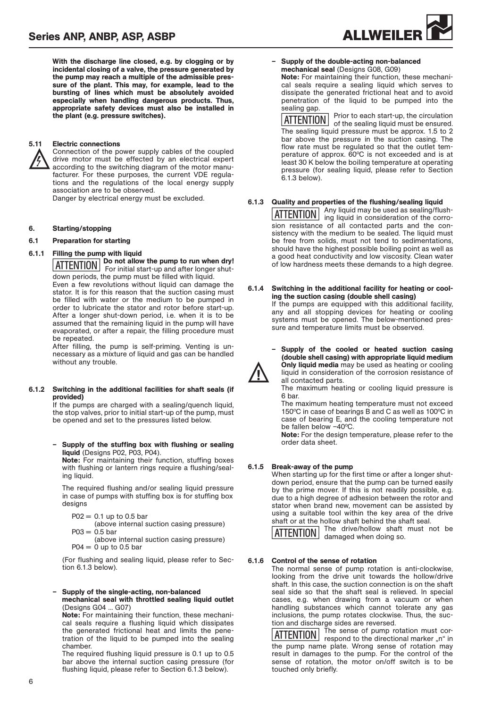With the discharge line closed, e.g. by clogging or by incidental closing of a valve, the pressure generated by the pump may reach a multiple of the admissible pressure of the plant. This may, for example, lead to the bursting of lines which must be absolutely avoided especially when handling dangerous products. Thus, appropriate safety devices must also be installed in the plant (e.g. pressure switches).

#### 5.11 Electric connections

Connection of the power supply cables of the coupled drive motor must be effected by an electrical expert according to the switching diagram of the motor manufacturer. For these purposes, the current VDE regulations and the regulations of the local energy supply association are to be observed.

Danger by electrical energy must be excluded.

#### 6. Starting/stopping

#### 6.1 Preparation for starting

#### 6.1.1 Filling the pump with liquid

 $\overline{\text{ATTENTIOM}}$  Do not allow the pump to run when dry! For initial start-up and after longer shutdown periods, the pump must be filled with liquid. Even a few revolutions without liquid can damage the stator. It is for this reason that the suction casing must be filled with water or the medium to be pumped in order to lubricate the stator and rotor before start-up. After a longer shut-down period, i.e. when it is to be assumed that the remaining liquid in the pump will have evaporated, or after a repair, the filling procedure must be repeated.

After filling, the pump is self-priming. Venting is unnecessary as a mixture of liquid and gas can be handled without any trouble.

#### 6.1.2 Switching in the additional facilities for shaft seals (if provided)

If the pumps are charged with a sealing/quench liquid, the stop valves, prior to initial start-up of the pump, must be opened and set to the pressures listed below.

– Supply of the stuffing box with flushing or sealing liquid (Designs P02, P03, P04). Note: For maintaining their function, stuffing boxes with flushing or lantern rings require a flushing/sealing liquid.

The required flushing and/or sealing liquid pressure in case of pumps with stuffing box is for stuffing box designs

 $PO2 = 0.1$  up to 0.5 bar

(above internal suction casing pressure)  $P03 = 0.5$  bar

(above internal suction casing pressure)  $PO4 = 0$  up to 0.5 bar

(For flushing and sealing liquid, please refer to Section 6.1.3 below).

– Supply of the single-acting, non-balanced mechanical seal with throttled sealing liquid outlet (Designs G04 ... G07)

Note: For maintaining their function, these mechanical seals require a flushing liquid which dissipates the generated frictional heat and limits the penetration of the liquid to be pumped into the sealing chamber.

The required flushing liquid pressure is 0.1 up to 0.5 bar above the internal suction casing pressure (for flushing liquid, please refer to Section 6.1.3 below).



– Supply of the double-acting non-balanced mechanical seal (Designs G08, G09) Note: For maintaining their function, these mechani-

cal seals require a sealing liquid which serves to dissipate the generated frictional heat and to avoid penetration of the liquid to be pumped into the sealing gap.

 $|$  ATTENTION  $|$ Prior to each start-up, the circulation of the sealing liquid must be ensured. The sealing liquid pressure must be approx. 1.5 to 2 bar above the pressure in the suction casing. The flow rate must be regulated so that the outlet temperature of approx. 60°C is not exceeded and is at least 30 K below the boiling temperature at operating pressure (for sealing liquid, please refer to Section 6.1.3 below).

#### 6.1.3 Quality and properties of the flushing/sealing liquid

**ANY ROOF MANY INCOCO ATTENTION** Any liquid may be used as sealing/flushsion resistance of all contacted parts and the consistency with the medium to be sealed. The liquid must be free from solids, must not tend to sedimentations, should have the highest possible boiling point as well as a good heat conductivity and low viscosity. Clean water of low hardness meets these demands to a high degree.

#### 6.1.4 Switching in the additional facility for heating or cooling the suction casing (double shell casing) If the pumps are equipped with this additional facility,

any and all stopping devices for heating or cooling systems must be opened. The below-mentioned pressure and temperature limits must be observed.



Supply of the cooled or heated suction casing (double shell casing) with appropriate liquid medium Only liquid media may be used as heating or cooling<br>liquid in consideration of the corrosion resistance of<br>all contacted parts. liquid in consideration of the corrosion resistance of all contacted parts.

> The maximum heating or cooling liquid pressure is 6 bar.

> The maximum heating temperature must not exceed 150 $\degree$ C in case of bearings B and C as well as 100 $\degree$ C in case of bearing E, and the cooling temperature not be fallen below -40°C.

> Note: For the design temperature, please refer to the order data sheet.

#### 6.1.5 Break-away of the pump

When starting up for the first time or after a longer shutdown period, ensure that the pump can be turned easily by the prime mover. If this is not readily possible, e.g. due to a high degree of adhesion between the rotor and stator when brand new, movement can be assisted by using a suitable tool within the key area of the drive shaft or at the hollow shaft behind the shaft seal.



#### 6.1.6 Control of the sense of rotation

The normal sense of pump rotation is anti-clockwise, looking from the drive unit towards the hollow/drive shaft. In this case, the suction connection is on the shaft seal side so that the shaft seal is relieved. In special cases, e.g. when drawing from a vacuum or when handling substances which cannot tolerate any gas inclusions, the pump rotates clockwise. Thus, the suction and discharge sides are reversed.

**ATTENTION** The sense of pump rotation must cor-<br>ATTENTION respond to the directional marker .n<sup>e</sup> in respond to the directional marker "n" in the pump name plate. Wrong sense of rotation may result in damages to the pump. For the control of the sense of rotation, the motor on/off switch is to be touched only briefly.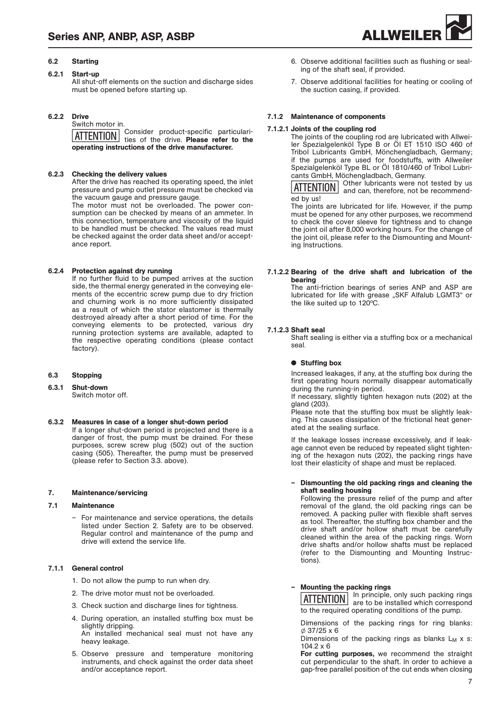

#### 6.2 Starting

#### 6.2.1 Start-up

All shut-off elements on the suction and discharge sides must be opened before starting up.

#### 6.2.2 Drive

Switch motor in. **ATTENTION** Consider product-specific particularities of the drive. Please refer to the operating instructions of the drive manufacturer.

#### 6.2.3 Checking the delivery values

After the drive has reached its operating speed, the inlet pressure and pump outlet pressure must be checked via the vacuum gauge and pressure gauge.

The motor must not be overloaded. The power consumption can be checked by means of an ammeter. In this connection, temperature and viscosity of the liquid to be handled must be checked. The values read must be checked against the order data sheet and/or acceptance report.

#### 6.2.4 Protection against dry running

If no further fluid to be pumped arrives at the suction side, the thermal energy generated in the conveying elements of the eccentric screw pump due to dry friction and churning work is no more sufficiently dissipated as a result of which the stator elastomer is thermally destroyed already after a short period of time. For the conveying elements to be protected, various dry running protection systems are available, adapted to the respective operating conditions (please contact factory).

#### 6.3 Stopping

### 6.3.1 Shut-down

Switch motor off.

#### 6.3.2 Measures in case of a longer shut-down period If a longer shut-down period is projected and there is a danger of frost, the pump must be drained. For these purposes, screw screw plug (502) out of the suction casing (505). Thereafter, the pump must be preserved (please refer to Section 3.3. above).

#### 7. Maintenance/servicing

#### 7.1 Maintenance

– For maintenance and service operations, the details listed under Section 2. Safety are to be observed. Regular control and maintenance of the pump and drive will extend the service life.

#### 7.1.1 General control

- 1. Do not allow the pump to run when dry.
- 2. The drive motor must not be overloaded.
- 3. Check suction and discharge lines for tightness.
- 4. During operation, an installed stuffing box must be slightly dripping.
	- An installed mechanical seal must not have any heavy leakage.
- 5. Observe pressure and temperature monitoring instruments, and check against the order data sheet and/or acceptance report.
- 6. Observe additional facilities such as flushing or sealing of the shaft seal, if provided.
- 7. Observe additional facilities for heating or cooling of the suction casing, if provided.

#### 7.1.2 Maintenance of components

#### 7.1.2.1 Joints of the coupling rod

The joints of the coupling rod are lubricated with Allweiler Spezialgelenköl Type B or Öl ET 1510 ISO 460 of Tribol Lubricants GmbH, Mönchengladbach, Germany; if the pumps are used for foodstuffs, with Allweiler Spezialgelenköl Type BL or Öl 1810/460 of Tribol Lubricants GmbH, Möchengladbach, Germany.

**ATTENTION** Other lubricants were not tested by us and can, therefore, not be recommended by us!

The joints are lubricated for life. However, if the pump must be opened for any other purposes, we recommend to check the cover sleeve for tightness and to change the joint oil after 8,000 working hours. For the change of the joint oil, please refer to the Dismounting and Mounting Instructions.

#### 7.1.2.2 Bearing of the drive shaft and lubrication of the bearing

The anti-friction bearings of series ANP and ASP are lubricated for life with grease .. SKF Alfalub LGMT3" or the like suited up to  $120^{\circ}$ C.

#### 7.1.2.3 Shaft seal

Shaft sealing is either via a stuffing box or a mechanical seal.

#### **Stuffing box**

Increased leakages, if any, at the stuffing box during the first operating hours normally disappear automatically during the running-in period.

If necessary, slightly tighten hexagon nuts (202) at the gland (203).

Please note that the stuffing box must be slightly leaking. This causes dissipation of the frictional heat generated at the sealing surface.

If the leakage losses increase excessively, and if leakage cannot even be reduced by repeated slight tightening of the hexagon nuts (202), the packing rings have lost their elasticity of shape and must be replaced.

#### – Dismounting the old packing rings and cleaning the shaft sealing housing

Following the pressure relief of the pump and after removal of the gland, the old packing rings can be removed. A packing puller with flexible shaft serves as tool. Thereafter, the stuffing box chamber and the drive shaft and/or hollow shaft must be carefully cleaned within the area of the packing rings. Worn drive shafts and/or hollow shafts must be replaced (refer to the Dismounting and Mounting Instructions).

#### – Mounting the packing rings

**ATTENTION** In principle, only such packing rings<br>are to be installed which correspond to the required operating conditions of the pump.

Dimensions of the packing rings for ring blanks:  $\phi$  37/25 x 6

Dimensions of the packing rings as blanks  $L_M$  x s: 104.2 x 6

For cutting purposes, we recommend the straight cut perpendicular to the shaft. In order to achieve a gap-free parallel position of the cut ends when closing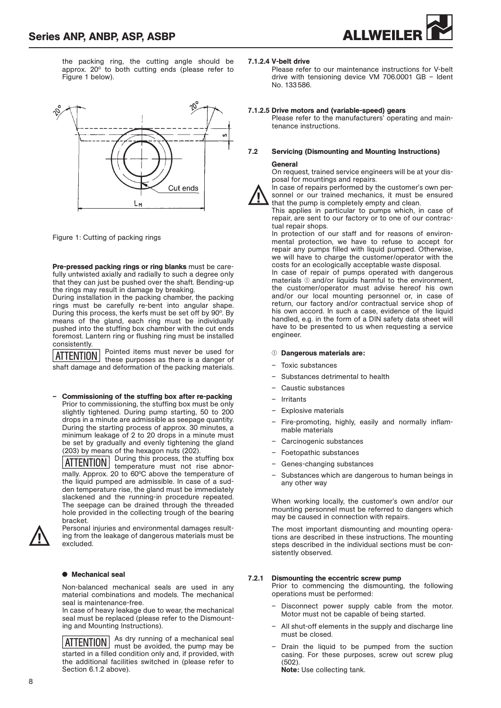

the packing ring, the cutting angle should be<br>approx. 20° to both cutting ends (please refer to Figure 1 below).



Figure 1: Cutting of packing rings

Pre-pressed packing rings or ring blanks must be carefully untwisted axially and radially to such a degree only that they can just be pushed over the shaft. Bending-up the rings may result in damage by breaking.

During installation in the packing chamber, the packing rings must be carefully re-bent into angular shape. During this process, the kerfs must be set off by 90°. By means of the gland, each ring must be individually pushed into the stuffing box chamber with the cut ends foremost. Lantern ring or flushing ring must be installed consistently.

**ATTENTION** Pointed items must never be used for<br>ATTENTION these purposes as there is a danger of Pointed items must never be used for shaft damage and deformation of the packing materials.

– Commissioning of the stuffing box after re-packing Prior to commissioning, the stuffing box must be only slightly tightened. During pump starting, 50 to 200 drops in a minute are admissible as seepage quantity. During the starting process of approx. 30 minutes, a minimum leakage of 2 to 20 drops in a minute must be set by gradually and evenly tightening the gland (203) by means of the hexagon nuts (202).

**ATTENTION** During this process, the stuffing box<br>**ATTENTION** temperature must not rise abnormally. Approx. 20 to 60°C above the temperature of the liquid pumped are admissible. In case of a sudden temperature rise, the gland must be immediately slackened and the running-in procedure repeated. The seepage can be drained through the threaded hole provided in the collecting trough of the bearing bracket.

Personal injuries and environmental damages resulting from the leakage of dangerous materials must be excluded.

#### **•** Mechanical seal

Non-balanced mechanical seals are used in any material combinations and models. The mechanical seal is maintenance-free.

In case of heavy leakage due to wear, the mechanical seal must be replaced (please refer to the Dismounting and Mounting Instructions).

**ATTENTION** As dry running of a mechanical seal must be avoided, the pump may be started in a filled condition only and, if provided, with the additional facilities switched in (please refer to Section 6.1.2 above).

#### 7.1.2.4 V-belt drive

Please refer to our maintenance instructions for V-belt drive with tensioning device VM 706.0001 GB – Ident No. 133586.

#### 7.1.2.5 Drive motors and (variable-speed) gears

Please refer to the manufacturers' operating and maintenance instructions.

#### 7.2 Servicing (Dismounting and Mounting Instructions)

#### General

On request, trained service engineers will be at your disposal for mountings and repairs.

in case of repairs performed by the customer's own personnel or our trained mechanics, it must be ensured that the pump is completely empty and clean.

This applies in particular to pumps which, in case of repair, are sent to our factory or to one of our contractual repair shops.

In protection of our staff and for reasons of environmental protection, we have to refuse to accept for repair any pumps filled with liquid pumped. Otherwise, we will have to charge the customer/operator with the costs for an ecologically acceptable waste disposal.

In case of repair of pumps operated with dangerous materials  $$\circ$  and/or liquids harmful to the environment,$ the customer/operator must advise hereof his own and/or our local mounting personnel or, in case of return, our factory and/or contractual service shop of his own accord. In such a case, evidence of the liquid handled, e.g. in the form of a DIN safety data sheet will have to be presented to us when requesting a service engineer.

#### **1** Dangerous materials are:

- Toxic substances
- Substances detrimental to health
- Caustic substances
- Irritants
- Explosive materials
- Fire-promoting, highly, easily and normally inflammable materials
- Carcinogenic substances
- Foetopathic substances
- Genes-changing substances
- Substances which are dangerous to human beings in any other way

When working locally, the customer's own and/or our mounting personnel must be referred to dangers which may be caused in connection with repairs.

The most important dismounting and mounting operations are described in these instructions. The mounting steps described in the individual sections must be consistently observed.

#### 7.2.1 Dismounting the eccentric screw pump

Prior to commencing the dismounting, the following operations must be performed:

- Disconnect power supply cable from the motor. Motor must not be capable of being started.
- All shut-off elements in the supply and discharge line must be closed.
- Drain the liquid to be pumped from the suction casing. For these purposes, screw out screw plug (502).
	- Note: Use collecting tank.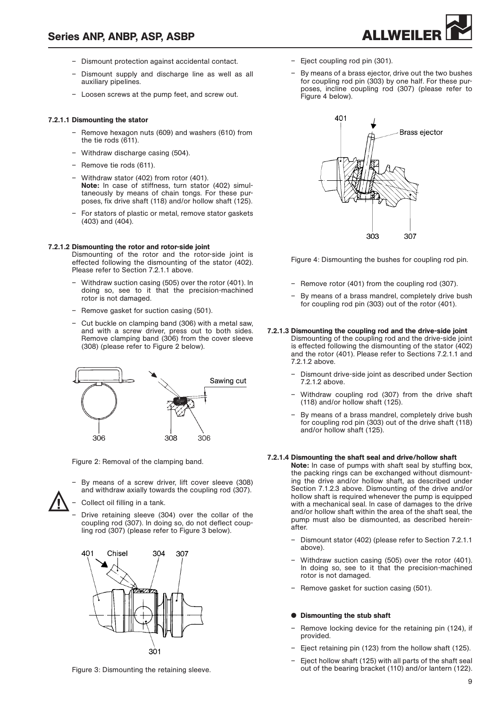

- Dismount protection against accidental contact.
- Dismount supply and discharge line as well as all auxiliary pipelines.
- Loosen screws at the pump feet, and screw out.

#### 7.2.1.1 Dismounting the stator

- Remove hexagon nuts (609) and washers (610) from the tie rods (611).
- Withdraw discharge casing (504).
- Remove tie rods (611).
- Withdraw stator (402) from rotor (401). Note: In case of stiffness, turn stator (402) simultaneously by means of chain tongs. For these purposes, fix drive shaft (118) and/or hollow shaft (125).
- For stators of plastic or metal, remove stator gaskets (403) and (404).

#### 7.2.1.2 Dismounting the rotor and rotor-side joint

Dismounting of the rotor and the rotor-side joint is effected following the dismounting of the stator (402). Please refer to Section 7.2.1.1 above.

- Withdraw suction casing (505) over the rotor (401). In doing so, see to it that the precision-machined rotor is not damaged.
- Remove gasket for suction casing (501).
- Cut buckle on clamping band (306) with a metal saw, and with a screw driver, press out to both sides. Remove clamping band (306) from the cover sleeve (308) (please refer to Figure 2 below).



Figure 2: Removal of the clamping band.

- By means of a screw driver, lift cover sleeve (308) and withdraw axially towards the coupling rod (307).<br>Collect oil filling in a tank.
- 

– Drive retaining sleeve (304) over the collar of the coupling rod (307). In doing so, do not deflect coupling rod (307) (please refer to Figure 3 below).





- Eject coupling rod pin (301).
- By means of a brass ejector, drive out the two bushes for coupling rod pin (303) by one half. For these purposes, incline coupling rod (307) (please refer to Figure 4 below).



Figure 4: Dismounting the bushes for coupling rod pin.

- Remove rotor (401) from the coupling rod (307).
- By means of a brass mandrel, completely drive bush for coupling rod pin (303) out of the rotor (401).
- 7.2.1.3 Dismounting the coupling rod and the drive-side joint Dismounting of the coupling rod and the drive-side joint is effected following the dismounting of the stator (402) and the rotor (401). Please refer to Sections 7.2.1.1 and 7.2.1.2 above.
	- Dismount drive-side joint as described under Section 7.2.1.2 above.
	- Withdraw coupling rod (307) from the drive shaft (118) and/or hollow shaft (125).
	- By means of a brass mandrel, completely drive bush for coupling rod pin (303) out of the drive shaft (118) and/or hollow shaft (125).

#### 7.2.1.4 Dismounting the shaft seal and drive/hollow shaft

Note: In case of pumps with shaft seal by stuffing box, the packing rings can be exchanged without dismounting the drive and/or hollow shaft, as described under Section 7.1.2.3 above. Dismounting of the drive and/or hollow shaft is required whenever the pump is equipped with a mechanical seal. In case of damages to the drive and/or hollow shaft within the area of the shaft seal, the pump must also be dismounted, as described hereinafter.

- Dismount stator (402) (please refer to Section 7.2.1.1 above).
- Withdraw suction casing (505) over the rotor (401). In doing so, see to it that the precision-machined rotor is not damaged.
- Remove gasket for suction casing (501).

#### $\bullet$ Dismounting the stub shaft

- Remove locking device for the retaining pin (124), if provided.
- Eject retaining pin (123) from the hollow shaft (125).
- Eject hollow shaft (125) with all parts of the shaft seal out of the bearing bracket (110) and/or lantern (122).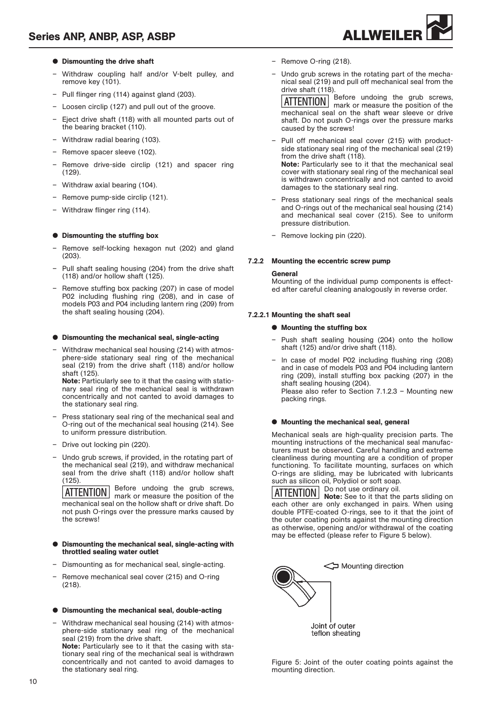

- **•** Dismounting the drive shaft
- Withdraw coupling half and/or V-belt pulley, and remove key (101).
- Pull flinger ring (114) against gland (203).
- Loosen circlip (127) and pull out of the groove.
- Eject drive shaft (118) with all mounted parts out of the bearing bracket (110).
- Withdraw radial bearing (103).
- Remove spacer sleeve (102).
- Remove drive-side circlip (121) and spacer ring (129).
- Withdraw axial bearing (104).
- Remove pump-side circlip (121).
- Withdraw flinger ring (114).

#### • Dismounting the stuffing box

- Remove self-locking hexagon nut (202) and gland (203).
- Pull shaft sealing housing (204) from the drive shaft (118) and/or hollow shaft (125).
- Remove stuffing box packing (207) in case of model P02 including flushing ring (208), and in case of models P03 and P04 including lantern ring (209) from the shaft sealing housing (204).

#### **• Dismounting the mechanical seal, single-acting**

– Withdraw mechanical seal housing (214) with atmosphere-side stationary seal ring of the mechanical seal (219) from the drive shaft (118) and/or hollow shaft (125).

Note: Particularly see to it that the casing with stationary seal ring of the mechanical seal is withdrawn concentrically and not canted to avoid damages to the stationary seal ring.

- Press stationary seal ring of the mechanical seal and O-ring out of the mechanical seal housing (214). See to uniform pressure distribution.
- Drive out locking pin (220).
- Undo grub screws, if provided, in the rotating part of the mechanical seal (219), and withdraw mechanical seal from the drive shaft (118) and/or hollow shaft (125).

 $\boxed{\text{ATTENTION}}$  Before undoing the grub screws, mechanical seal on the hollow shaft or drive shaft. Do not push O-rings over the pressure marks caused by the screws!

- **•** Dismounting the mechanical seal, single-acting with throttled sealing water outlet
- Dismounting as for mechanical seal, single-acting.
- Remove mechanical seal cover (215) and O-ring (218).

#### **• Dismounting the mechanical seal, double-acting**

– Withdraw mechanical seal housing (214) with atmosphere-side stationary seal ring of the mechanical seal (219) from the drive shaft.

Note: Particularly see to it that the casing with stationary seal ring of the mechanical seal is withdrawn concentrically and not canted to avoid damages to the stationary seal ring.

- Remove O-ring (218).
- Undo grub screws in the rotating part of the mechanical seal (219) and pull off mechanical seal from the drive shaft (118).

 $\overline{\text{ATTENTION}}$  Before undoing the grub screws, mark or measure the position of the mechanical seal on the shaft wear sleeve or drive shaft. Do not push O-rings over the pressure marks caused by the screws!

- Pull off mechanical seal cover (215) with productside stationary seal ring of the mechanical seal (219) from the drive shaft (118). Note: Particularly see to it that the mechanical seal cover with stationary seal ring of the mechanical seal is withdrawn concentrically and not canted to avoid damages to the stationary seal ring.
- Press stationary seal rings of the mechanical seals and O-rings out of the mechanical seal housing (214) and mechanical seal cover (215). See to uniform pressure distribution.
- Remove locking pin (220).

#### 7.2.2 Mounting the eccentric screw pump

#### General

Mounting of the individual pump components is effected after careful cleaning analogously in reverse order.

#### 7.2.2.1 Mounting the shaft seal

#### $\bullet$  Mounting the stuffing box

- Push shaft sealing housing (204) onto the hollow shaft (125) and/or drive shaft (118).
- In case of model P02 including flushing ring (208) and in case of models P03 and P04 including lantern ring (209), install stuffing box packing (207) in the shaft sealing housing (204). Please also refer to Section 7.1.2.3 – Mounting new packing rings.

#### $\bullet$  Mounting the mechanical seal, general

Mechanical seals are high-quality precision parts. The mounting instructions of the mechanical seal manufacturers must be observed. Careful handling and extreme cleanliness during mounting are a condition of proper functioning. To facilitate mounting, surfaces on which O-rings are sliding, may be lubricated with lubricants such as silicon oil, Polydiol or soft soap.

 $\overline{\text{ATTENTION}}$  Do not use ordinary oil.

Note: See to it that the parts sliding on each other are only exchanged in pairs. When using double PTFE-coated O-rings, see to it that the joint of the outer coating points against the mounting direction as otherwise, opening and/or withdrawal of the coating may be effected (please refer to Figure 5 below).



Figure 5: Joint of the outer coating points against the mounting direction.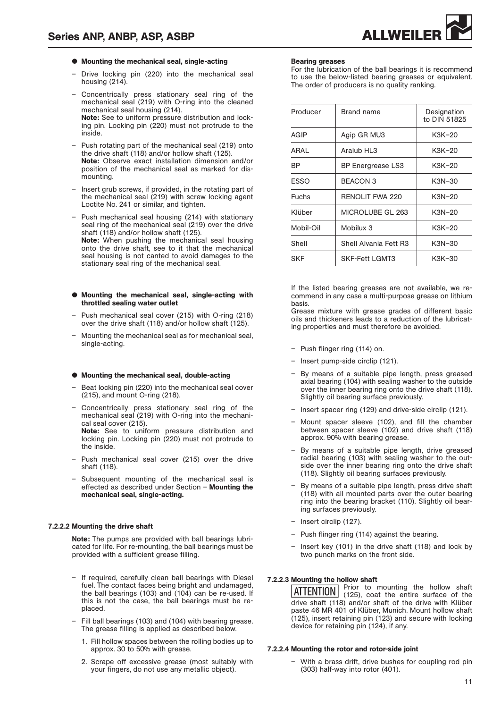

- $\bullet$  Mounting the mechanical seal, single-acting
- Drive locking pin (220) into the mechanical seal housing (214).
- Concentrically press stationary seal ring of the mechanical seal (219) with O-ring into the cleaned mechanical seal housing (214).

Note: See to uniform pressure distribution and locking pin. Locking pin (220) must not protrude to the inside.

- Push rotating part of the mechanical seal (219) onto the drive shaft (118) and/or hollow shaft (125). Note: Observe exact installation dimension and/or position of the mechanical seal as marked for dismounting.
- Insert grub screws, if provided, in the rotating part of the mechanical seal (219) with screw locking agent Loctite No. 241 or similar, and tighten.
- Push mechanical seal housing (214) with stationary seal ring of the mechanical seal (219) over the drive shaft (118) and/or hollow shaft (125). Note: When pushing the mechanical seal housing onto the drive shaft, see to it that the mechanical seal housing is not canted to avoid damages to the stationary seal ring of the mechanical seal.

#### $\bullet$  Mounting the mechanical seal, single-acting with throttled sealing water outlet

- Push mechanical seal cover (215) with O-ring (218) over the drive shaft (118) and/or hollow shaft (125).
- Mounting the mechanical seal as for mechanical seal, single-acting.

#### $\bullet$  Mounting the mechanical seal, double-acting

- Beat locking pin (220) into the mechanical seal cover (215), and mount O-ring (218).
- Concentrically press stationary seal ring of the mechanical seal (219) with O-ring into the mechanical seal cover (215). Note: See to uniform pressure distribution and

locking pin. Locking pin (220) must not protrude to the inside.

- Push mechanical seal cover (215) over the drive shaft (118).
- Subsequent mounting of the mechanical seal is effected as described under Section – Mounting the mechanical seal, single-acting.

#### 7.2.2.2 Mounting the drive shaft

Note: The pumps are provided with ball bearings lubricated for life. For re-mounting, the ball bearings must be provided with a sufficient grease filling.

- If required, carefully clean ball bearings with Diesel fuel. The contact faces being bright and undamaged, the ball bearings (103) and (104) can be re-used. If this is not the case, the ball bearings must be replaced.
- Fill ball bearings (103) and (104) with bearing grease. The grease filling is applied as described below.
	- 1. Fill hollow spaces between the rolling bodies up to approx. 30 to 50% with grease.
	- 2. Scrape off excessive grease (most suitably with your fingers, do not use any metallic object).

#### Bearing greases

For the lubrication of the ball bearings it is recommend to use the below-listed bearing greases or equivalent. The order of producers is no quality ranking.

| Producer  | Brand name               | Designation<br>to DIN 51825 |  |  |
|-----------|--------------------------|-----------------------------|--|--|
| AGIP      | Agip GR MU3              | K3K-20                      |  |  |
| ARAI      | Aralub HL3               | K3K-20                      |  |  |
| ВP        | <b>BP Energrease LS3</b> | K3K-20                      |  |  |
| ESSO      | <b>BEACON 3</b>          | K3N-30                      |  |  |
| Fuchs     | RENOLIT FWA 220          | K3N-20                      |  |  |
| Klüber    | MICROLUBE GL 263         |                             |  |  |
| Mobil-Oil | Mobilux 3                | K3K-20                      |  |  |
| Shell     | Shell Alvania Fett R3    | K3N-30                      |  |  |
| SKF       | K3K-30                   |                             |  |  |

If the listed bearing greases are not available, we recommend in any case a multi-purpose grease on lithium basis.

Grease mixture with grease grades of different basic oils and thickeners leads to a reduction of the lubricating properties and must therefore be avoided.

- Push flinger ring (114) on.
- Insert pump-side circlip (121).
- By means of a suitable pipe length, press greased axial bearing (104) with sealing washer to the outside over the inner bearing ring onto the drive shaft (118). Slightly oil bearing surface previously.
- Insert spacer ring (129) and drive-side circlip (121).
- Mount spacer sleeve (102), and fill the chamber between spacer sleeve (102) and drive shaft (118) approx. 90% with bearing grease.
- By means of a suitable pipe length, drive greased radial bearing (103) with sealing washer to the outside over the inner bearing ring onto the drive shaft (118). Slightly oil bearing surfaces previously.
- By means of a suitable pipe length, press drive shaft (118) with all mounted parts over the outer bearing ring into the bearing bracket (110). Slightly oil bearing surfaces previously.
- Insert circlip (127).
- Push flinger ring (114) against the bearing.
- Insert key (101) in the drive shaft (118) and lock by two punch marks on the front side.

#### 7.2.2.3 Mounting the hollow shaft

 $\overline{\text{ATTENTION}}$  Prior to mounting the hollow shaft  $(125)$ , coat the entire surface of the drive shaft (118) and/or shaft of the drive with Klüber paste 46 MR 401 of Klüber, Munich. Mount hollow shaft (125), insert retaining pin (123) and secure with locking device for retaining pin (124), if any.

#### 7.2.2.4 Mounting the rotor and rotor-side joint

– With a brass drift, drive bushes for coupling rod pin (303) half-way into rotor (401).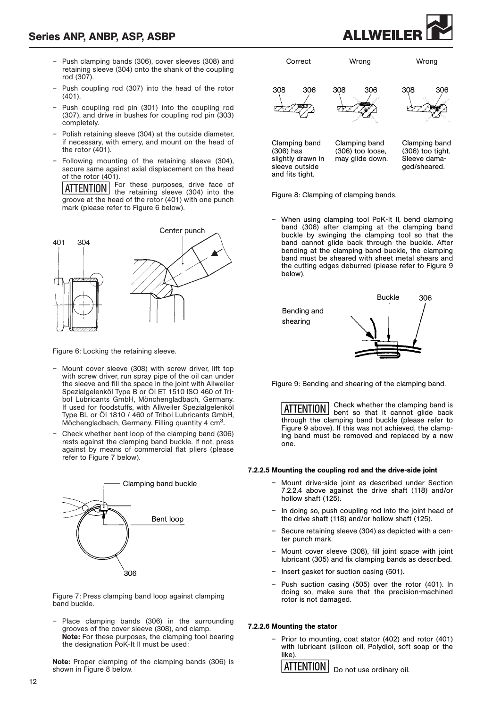

- Push clamping bands (306), cover sleeves (308) and retaining sleeve (304) onto the shank of the coupling rod (307).
- Push coupling rod (307) into the head of the rotor (401).
- Push coupling rod pin (301) into the coupling rod (307), and drive in bushes for coupling rod pin (303) completely.
- Polish retaining sleeve (304) at the outside diameter, if necessary, with emery, and mount on the head of the rotor (401).
- Following mounting of the retaining sleeve (304), secure same against axial displacement on the head of the rotor (401).

 $\boxed{\text{ATTENTION}}$  for these purposes, drive face of the retaining sleeve (304) into the groove at the head of the rotor (401) with one punch mark (please refer to Figure 6 below).



Figure 6: Locking the retaining sleeve.

- Mount cover sleeve (308) with screw driver, lift top with screw driver, run spray pipe of the oil can under the sleeve and fill the space in the joint with Allweiler Spezialgelenköl Type B or Öl ET 1510 ISO 460 of Tribol Lubricants GmbH, Mönchengladbach, Germany. If used for foodstuffs, with Allweiler Spezialgelenköl Type BL or Öl 1810 / 460 of Tribol Lubricants GmbH, Möchengladbach, Germany. Filling quantity 4  $\text{cm}^3$ .
- Check whether bent loop of the clamping band (306) rests against the clamping band buckle. If not, press against by means of commercial flat pliers (please refer to Figure 7 below).



Figure 7: Press clamping band loop against clamping band buckle.

– Place clamping bands (306) in the surrounding grooves of the cover sleeve (308), and clamp. Note: For these purposes, the clamping tool bearing the designation PoK-It II must be used:

Note: Proper clamping of the clamping bands (306) is shown in Figure 8 below.



Figure 8: Clamping of clamping bands.

– When using clamping tool PoK-It II, bend clamping band (306) after clamping at the clamping band buckle by swinging the clamping tool so that the band cannot glide back through the buckle. After bending at the clamping band buckle, the clamping band must be sheared with sheet metal shears and the cutting edges deburred (please refer to Figure 9 below).



Figure 9: Bending and shearing of the clamping band.

 $\overline{\text{ATTENTION}}$  Check whether the clamping band is bent so that it cannot glide back through the clamping band buckle (please refer to Figure 9 above). If this was not achieved, the clamping band must be removed and replaced by a new one.

#### 7.2.2.5 Mounting the coupling rod and the drive-side joint

- Mount drive-side joint as described under Section 7.2.2.4 above against the drive shaft (118) and/or hollow shaft (125).
- In doing so, push coupling rod into the joint head of the drive shaft (118) and/or hollow shaft (125).
- Secure retaining sleeve (304) as depicted with a center punch mark.
- Mount cover sleeve (308), fill joint space with joint lubricant (305) and fix clamping bands as described.
- Insert gasket for suction casing (501).
- Push suction casing (505) over the rotor (401). In doing so, make sure that the precision-machined rotor is not damaged.

#### 7.2.2.6 Mounting the stator

– Prior to mounting, coat stator (402) and rotor (401) with lubricant (silicon oil, Polydiol, soft soap or the like).

**ATTENTION** Do not use ordinary oil.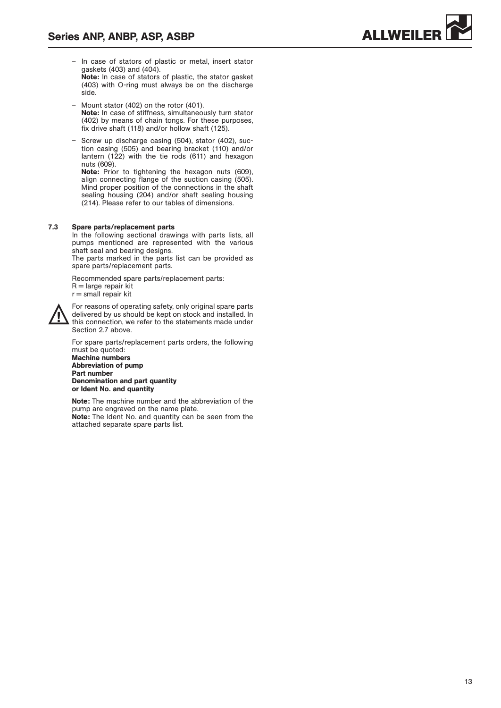

- In case of stators of plastic or metal, insert stator gaskets (403) and (404). Note: In case of stators of plastic, the stator gasket (403) with O-ring must always be on the discharge side.
- Mount stator (402) on the rotor (401). Note: In case of stiffness, simultaneously turn stator (402) by means of chain tongs. For these purposes, fix drive shaft (118) and/or hollow shaft (125).
- Screw up discharge casing (504), stator (402), suction casing (505) and bearing bracket (110) and/or lantern (122) with the tie rods (611) and hexagon nuts (609).

Note: Prior to tightening the hexagon nuts (609), align connecting flange of the suction casing (505). Mind proper position of the connections in the shaft sealing housing (204) and/or shaft sealing housing (214). Please refer to our tables of dimensions.

#### 7.3 Spare parts/replacement parts

In the following sectional drawings with parts lists, all pumps mentioned are represented with the various shaft seal and bearing designs.

The parts marked in the parts list can be provided as spare parts/replacement parts.

Recommended spare parts/replacement parts:  $R =$  large repair kit  $r =$  small repair kit



For reasons of operating safety, only original spare parts<br>delivered by us should be kept on stock and installed. In<br>this connection, we refer to the statements made under delivered by us should be kept on stock and installed. In this connection, we refer to the statements made under Section 2.7 above.

> For spare parts/replacement parts orders, the following must be quoted: Machine numbers Abbreviation of pump Part number Denomination and part quantity or Ident No. and quantity

> Note: The machine number and the abbreviation of the pump are engraved on the name plate. Note: The Ident No. and quantity can be seen from the attached separate spare parts list.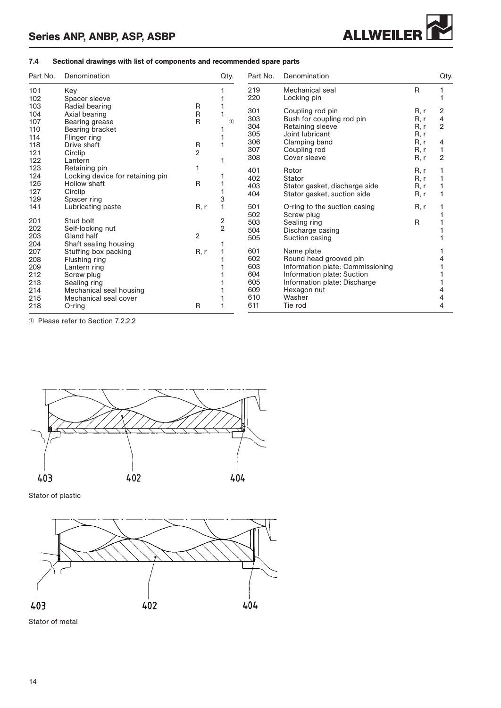# Series ANP, ANBP, ASP, ASBP **ALLWEILE**



## 7.4 Sectional drawings with list of components and recommended spare parts

| Part No. | Denomination                     |                | Qty.           | Part No. | Denomination                     |      | Qty. |
|----------|----------------------------------|----------------|----------------|----------|----------------------------------|------|------|
| 101      | Key                              |                |                | 219      | Mechanical seal                  | R    |      |
| 102      | Spacer sleeve                    |                |                | 220      | Locking pin                      |      |      |
| 103      | Radial bearing                   | R              |                |          |                                  |      |      |
| 104      | Axial bearing                    | $\mathsf{R}$   |                | 301      | Coupling rod pin                 | R, r | 2    |
| 107      | Bearing grease                   | $\mathsf{R}$   | $\circled{1}$  | 303      | Bush for coupling rod pin        | R, r | 4    |
| 110      | Bearing bracket                  |                |                | 304      | Retaining sleeve                 | R, r | 2    |
| 114      | Flinger ring                     |                |                | 305      | Joint lubricant                  | R, r |      |
| 118      | Drive shaft                      | R              |                | 306      | Clamping band                    | R, r | 4    |
| 121      | Circlip                          | $\overline{2}$ |                | 307      | Coupling rod                     | R, r | 1    |
| 122      | Lantern                          |                |                | 308      | Cover sleeve                     | R, r | 2    |
| 123      | Retaining pin                    |                |                | 401      | Rotor                            | R, r |      |
| 124      | Locking device for retaining pin |                |                | 402      | Stator                           | R, r |      |
| 125      | Hollow shaft                     | R              |                | 403      | Stator gasket, discharge side    | R, r |      |
| 127      | Circlip                          |                |                | 404      | Stator gasket, suction side      | R, r |      |
| 129      | Spacer ring                      |                | 3              |          |                                  |      |      |
| 141      | Lubricating paste                | R, r           | 1              | 501      | O-ring to the suction casing     | R, r |      |
|          |                                  |                |                | 502      | Screw plug                       |      |      |
| 201      | Stud bolt                        |                | 2              | 503      | Sealing ring                     | R    |      |
| 202      | Self-locking nut                 |                | $\overline{2}$ | 504      | Discharge casing                 |      |      |
| 203      | Gland half                       | $\overline{2}$ |                | 505      | Suction casing                   |      |      |
| 204      | Shaft sealing housing            |                |                |          |                                  |      |      |
| 207      | Stuffing box packing             | R, r           |                | 601      | Name plate                       |      |      |
| 208      | Flushing ring                    |                |                | 602      | Round head grooved pin           |      |      |
| 209      | Lantern ring                     |                |                | 603      | Information plate: Commissioning |      |      |
| 212      | Screw plug                       |                |                | 604      | Information plate: Suction       |      |      |
| 213      | Sealing ring                     |                |                | 605      | Information plate: Discharge     |      |      |
| 214      | Mechanical seal housing          |                |                | 609      | Hexagon nut                      |      |      |
| 215      | Mechanical seal cover            |                |                | 610      | Washer                           |      |      |
| 218      | $O$ -ring                        | R              |                | 611      | Tie rod                          |      |      |

<sup>1</sup> Please refer to Section 7.2.2.2



Stator of plastic



Stator of metal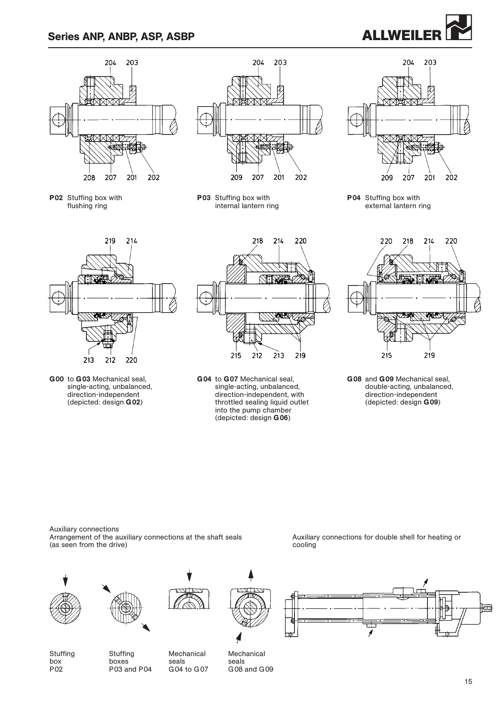# Series ANP, ANBP, ASP, ASBP **ALLWEILER**





P02 Stuffing box with flushing ring



P03 Stuffing box with internal lantern ring



P04 Stuffing box with external lantern ring



G08 and G09 Mechanical seal, double-acting, unbalanced, direction-independent (depicted: design G09)



G00 to G03 Mechanical seal, single-acting, unbalanced, direction-independent (depicted: design G02)



218

214

220

G04 to G07 Mechanical seal, single-acting, unbalanced, direction-independent, with throttled sealing liquid outlet into the pump chamber (depicted: design G06)

Auxiliary connections Arrangement of the auxiliary connections at the shaft seals (as seen from the drive)

Auxiliary connections for double shell for heating or cooling











- box boxes seals seals seals
- Stuffing Stuffing Mechanical Mechanical<br>
box boxes seals seals P02 P03 and P04 G04 to G07 G08 and G09

15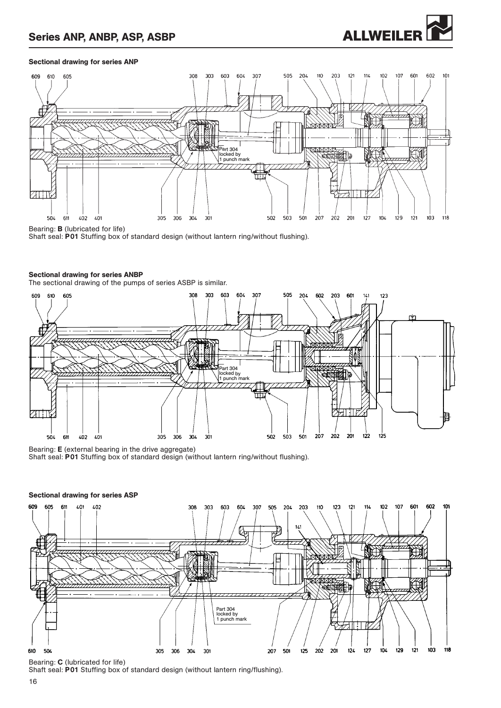

#### Sectional drawing for series ANP



Bearing: B (lubricated for life)

Shaft seal: P01 Stuffing box of standard design (without lantern ring/without flushing).

#### Sectional drawing for series ANBP

The sectional drawing of the pumps of series ASBP is similar.



Bearing: E (external bearing in the drive aggregate) Shaft seal: P01 Stuffing box of standard design (without lantern ring/without flushing).



#### Bearing: C (lubricated for life)

Shaft seal: P01 Stuffing box of standard design (without lantern ring/flushing).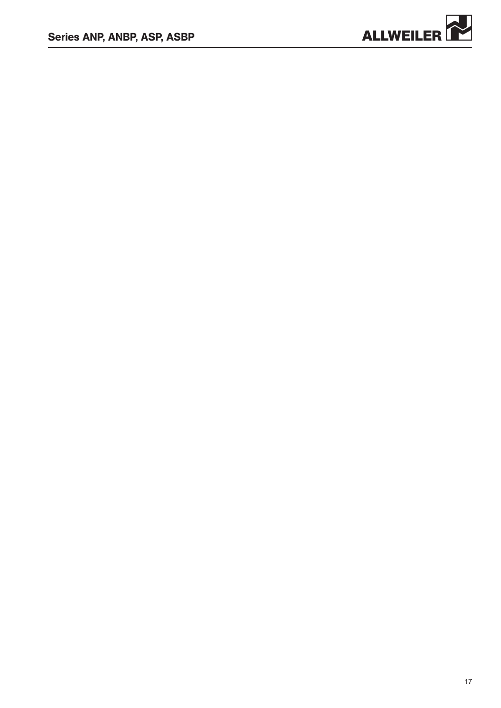